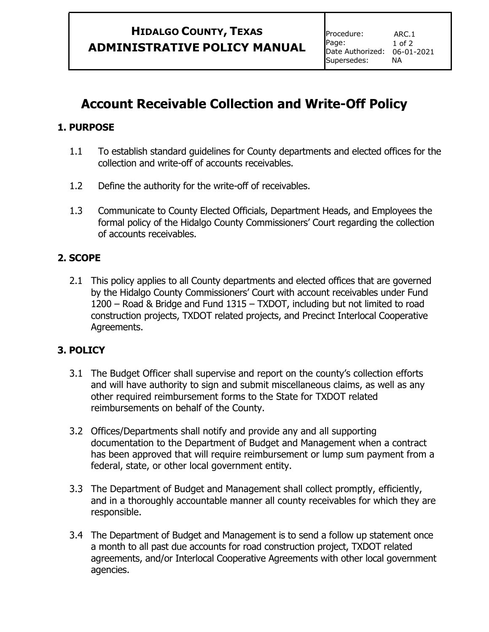## **HIDALGO COUNTY, TEXAS ADMINISTRATIVE POLICY MANUAL**

# **Account Receivable Collection and Write-Off Policy**

#### **1. PURPOSE**

- 1.1 To establish standard guidelines for County departments and elected offices for the collection and write-off of accounts receivables.
- 1.2 Define the authority for the write-off of receivables.
- 1.3 Communicate to County Elected Officials, Department Heads, and Employees the formal policy of the Hidalgo County Commissioners' Court regarding the collection of accounts receivables.

#### **2. SCOPE**

2.1 This policy applies to all County departments and elected offices that are governed by the Hidalgo County Commissioners' Court with account receivables under Fund 1200 – Road & Bridge and Fund 1315 – TXDOT, including but not limited to road construction projects, TXDOT related projects, and Precinct Interlocal Cooperative Agreements.

#### **3. POLICY**

- 3.1 The Budget Officer shall supervise and report on the county's collection efforts and will have authority to sign and submit miscellaneous claims, as well as any other required reimbursement forms to the State for TXDOT related reimbursements on behalf of the County.
- 3.2 Offices/Departments shall notify and provide any and all supporting documentation to the Department of Budget and Management when a contract has been approved that will require reimbursement or lump sum payment from a federal, state, or other local government entity.
- 3.3 The Department of Budget and Management shall collect promptly, efficiently, and in a thoroughly accountable manner all county receivables for which they are responsible.
- 3.4 The Department of Budget and Management is to send a follow up statement once a month to all past due accounts for road construction project, TXDOT related agreements, and/or Interlocal Cooperative Agreements with other local government agencies.